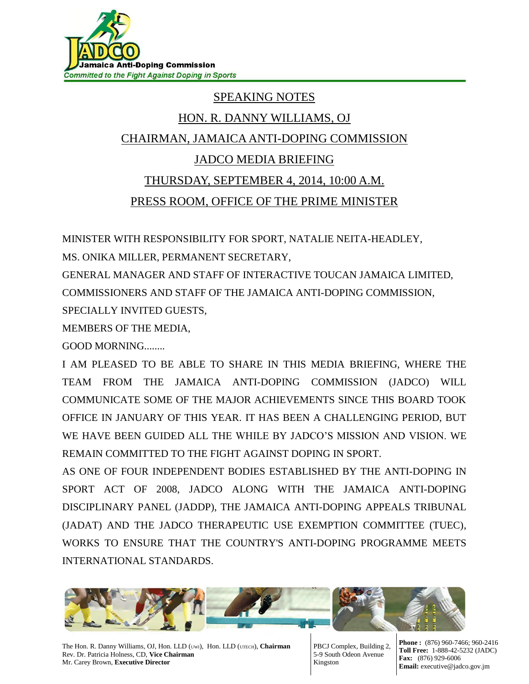

## SPEAKING NOTES

## HON. R. DANNY WILLIAMS, OJ CHAIRMAN, JAMAICA ANTI-DOPING COMMISSION JADCO MEDIA BRIEFING

## THURSDAY, SEPTEMBER 4, 2014, 10:00 A.M. PRESS ROOM, OFFICE OF THE PRIME MINISTER

MINISTER WITH RESPONSIBILITY FOR SPORT, NATALIE NEITA-HEADLEY,

MS. ONIKA MILLER, PERMANENT SECRETARY,

GENERAL MANAGER AND STAFF OF INTERACTIVE TOUCAN JAMAICA LIMITED, COMMISSIONERS AND STAFF OF THE JAMAICA ANTI-DOPING COMMISSION,

SPECIALLY INVITED GUESTS,

MEMBERS OF THE MEDIA,

GOOD MORNING........

I AM PLEASED TO BE ABLE TO SHARE IN THIS MEDIA BRIEFING, WHERE THE TEAM FROM THE JAMAICA ANTI-DOPING COMMISSION (JADCO) WILL COMMUNICATE SOME OF THE MAJOR ACHIEVEMENTS SINCE THIS BOARD TOOK OFFICE IN JANUARY OF THIS YEAR. IT HAS BEEN A CHALLENGING PERIOD, BUT WE HAVE BEEN GUIDED ALL THE WHILE BY JADCO'S MISSION AND VISION. WE REMAIN COMMITTED TO THE FIGHT AGAINST DOPING IN SPORT.

AS ONE OF FOUR INDEPENDENT BODIES ESTABLISHED BY THE ANTI-DOPING IN SPORT ACT OF 2008, JADCO ALONG WITH THE JAMAICA ANTI-DOPING DISCIPLINARY PANEL (JADDP), THE JAMAICA ANTI-DOPING APPEALS TRIBUNAL (JADAT) AND THE JADCO THERAPEUTIC USE EXEMPTION COMMITTEE (TUEC), WORKS TO ENSURE THAT THE COUNTRY'S ANTI-DOPING PROGRAMME MEETS INTERNATIONAL STANDARDS.



The Hon. R. Danny Williams, OJ, Hon. LLD (UWI), Hon. LLD (UTECH), **Chairman** Rev. Dr. Patricia Holness, CD, **Vice Chairman** Mr. Carey Brown, **Executive Director**

PBCJ Complex, Building 2, 5-9 South Odeon Avenue Kingston

**Phone :** (876) 960-7466; 960-2416 **Toll Free:** 1-888-42-5232 (JADC) **Fax:** (876) 929-6006 **Email:** executive@jadco.gov.jm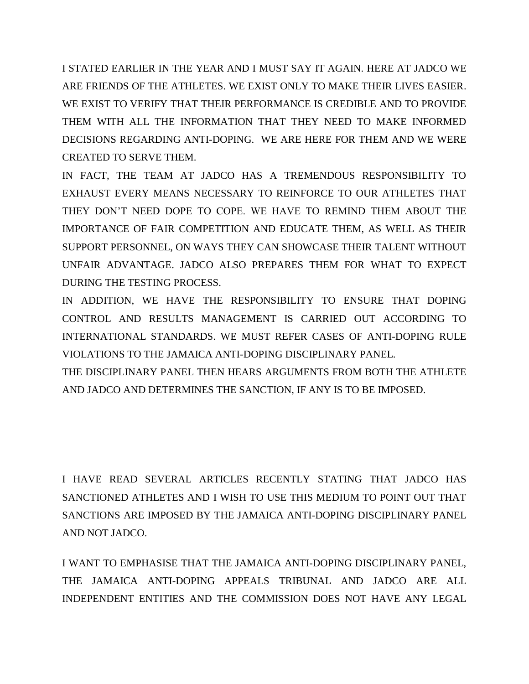I STATED EARLIER IN THE YEAR AND I MUST SAY IT AGAIN. HERE AT JADCO WE ARE FRIENDS OF THE ATHLETES. WE EXIST ONLY TO MAKE THEIR LIVES EASIER. WE EXIST TO VERIFY THAT THEIR PERFORMANCE IS CREDIBLE AND TO PROVIDE THEM WITH ALL THE INFORMATION THAT THEY NEED TO MAKE INFORMED DECISIONS REGARDING ANTI-DOPING. WE ARE HERE FOR THEM AND WE WERE CREATED TO SERVE THEM.

IN FACT, THE TEAM AT JADCO HAS A TREMENDOUS RESPONSIBILITY TO EXHAUST EVERY MEANS NECESSARY TO REINFORCE TO OUR ATHLETES THAT THEY DON'T NEED DOPE TO COPE. WE HAVE TO REMIND THEM ABOUT THE IMPORTANCE OF FAIR COMPETITION AND EDUCATE THEM, AS WELL AS THEIR SUPPORT PERSONNEL, ON WAYS THEY CAN SHOWCASE THEIR TALENT WITHOUT UNFAIR ADVANTAGE. JADCO ALSO PREPARES THEM FOR WHAT TO EXPECT DURING THE TESTING PROCESS.

IN ADDITION, WE HAVE THE RESPONSIBILITY TO ENSURE THAT DOPING CONTROL AND RESULTS MANAGEMENT IS CARRIED OUT ACCORDING TO INTERNATIONAL STANDARDS. WE MUST REFER CASES OF ANTI-DOPING RULE VIOLATIONS TO THE JAMAICA ANTI-DOPING DISCIPLINARY PANEL.

THE DISCIPLINARY PANEL THEN HEARS ARGUMENTS FROM BOTH THE ATHLETE AND JADCO AND DETERMINES THE SANCTION, IF ANY IS TO BE IMPOSED.

I HAVE READ SEVERAL ARTICLES RECENTLY STATING THAT JADCO HAS SANCTIONED ATHLETES AND I WISH TO USE THIS MEDIUM TO POINT OUT THAT SANCTIONS ARE IMPOSED BY THE JAMAICA ANTI-DOPING DISCIPLINARY PANEL AND NOT JADCO.

I WANT TO EMPHASISE THAT THE JAMAICA ANTI-DOPING DISCIPLINARY PANEL, THE JAMAICA ANTI-DOPING APPEALS TRIBUNAL AND JADCO ARE ALL INDEPENDENT ENTITIES AND THE COMMISSION DOES NOT HAVE ANY LEGAL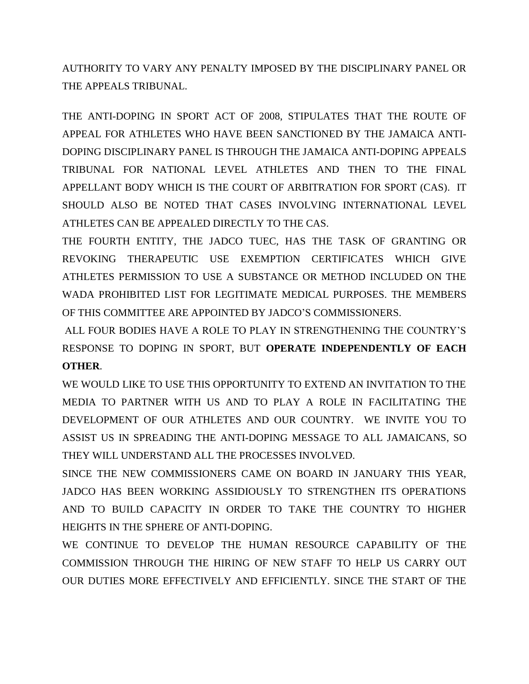AUTHORITY TO VARY ANY PENALTY IMPOSED BY THE DISCIPLINARY PANEL OR THE APPEALS TRIBUNAL.

THE ANTI-DOPING IN SPORT ACT OF 2008, STIPULATES THAT THE ROUTE OF APPEAL FOR ATHLETES WHO HAVE BEEN SANCTIONED BY THE JAMAICA ANTI-DOPING DISCIPLINARY PANEL IS THROUGH THE JAMAICA ANTI-DOPING APPEALS TRIBUNAL FOR NATIONAL LEVEL ATHLETES AND THEN TO THE FINAL APPELLANT BODY WHICH IS THE COURT OF ARBITRATION FOR SPORT (CAS). IT SHOULD ALSO BE NOTED THAT CASES INVOLVING INTERNATIONAL LEVEL ATHLETES CAN BE APPEALED DIRECTLY TO THE CAS.

THE FOURTH ENTITY, THE JADCO TUEC, HAS THE TASK OF GRANTING OR REVOKING THERAPEUTIC USE EXEMPTION CERTIFICATES WHICH GIVE ATHLETES PERMISSION TO USE A SUBSTANCE OR METHOD INCLUDED ON THE WADA PROHIBITED LIST FOR LEGITIMATE MEDICAL PURPOSES. THE MEMBERS OF THIS COMMITTEE ARE APPOINTED BY JADCO'S COMMISSIONERS.

ALL FOUR BODIES HAVE A ROLE TO PLAY IN STRENGTHENING THE COUNTRY'S RESPONSE TO DOPING IN SPORT, BUT **OPERATE INDEPENDENTLY OF EACH OTHER**.

WE WOULD LIKE TO USE THIS OPPORTUNITY TO EXTEND AN INVITATION TO THE MEDIA TO PARTNER WITH US AND TO PLAY A ROLE IN FACILITATING THE DEVELOPMENT OF OUR ATHLETES AND OUR COUNTRY. WE INVITE YOU TO ASSIST US IN SPREADING THE ANTI-DOPING MESSAGE TO ALL JAMAICANS, SO THEY WILL UNDERSTAND ALL THE PROCESSES INVOLVED.

SINCE THE NEW COMMISSIONERS CAME ON BOARD IN JANUARY THIS YEAR, JADCO HAS BEEN WORKING ASSIDIOUSLY TO STRENGTHEN ITS OPERATIONS AND TO BUILD CAPACITY IN ORDER TO TAKE THE COUNTRY TO HIGHER HEIGHTS IN THE SPHERE OF ANTI-DOPING.

WE CONTINUE TO DEVELOP THE HUMAN RESOURCE CAPABILITY OF THE COMMISSION THROUGH THE HIRING OF NEW STAFF TO HELP US CARRY OUT OUR DUTIES MORE EFFECTIVELY AND EFFICIENTLY. SINCE THE START OF THE